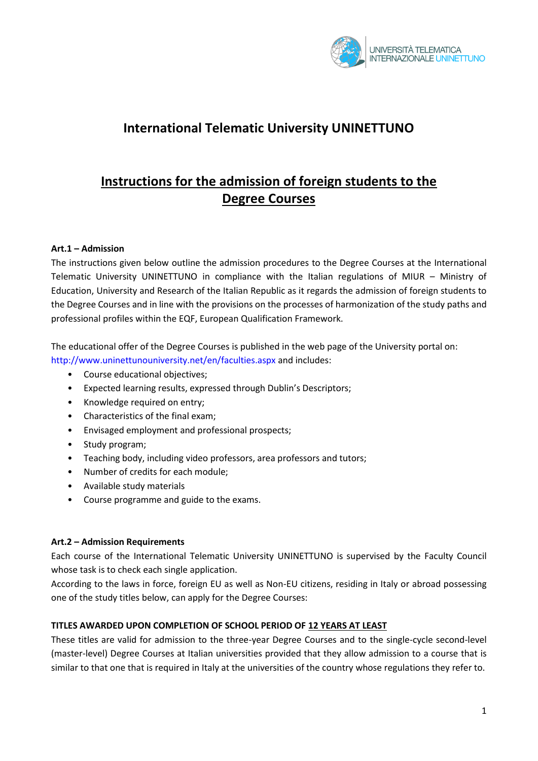

## **International Telematic University UNINETTUNO**

# **Instructions for the admission of foreign students to the Degree Courses**

#### **Art.1 – Admission**

The instructions given below outline the admission procedures to the Degree Courses at the International Telematic University UNINETTUNO in compliance with the Italian regulations of MIUR – Ministry of Education, University and Research of the Italian Republic as it regards the admission of foreign students to the Degree Courses and in line with the provisions on the processes of harmonization of the study paths and professional profiles within the EQF, European Qualification Framework.

The educational offer of the Degree Courses is published in the web page of the University portal on: http://www.uninettunouniversity.net/en/faculties.aspx and includes:

- Course educational objectives;
- Expected learning results, expressed through Dublin's Descriptors;
- Knowledge required on entry;
- Characteristics of the final exam;
- Envisaged employment and professional prospects;
- Study program:
- Teaching body, including video professors, area professors and tutors;
- Number of credits for each module;
- Available study materials
- Course programme and guide to the exams.

#### **Art.2 – Admission Requirements**

Each course of the International Telematic University UNINETTUNO is supervised by the Faculty Council whose task is to check each single application.

According to the laws in force, foreign EU as well as Non-EU citizens, residing in Italy or abroad possessing one of the study titles below, can apply for the Degree Courses:

#### **TITLES AWARDED UPON COMPLETION OF SCHOOL PERIOD OF 12 YEARS AT LEAST**

These titles are valid for admission to the three-year Degree Courses and to the single-cycle second-level (master-level) Degree Courses at Italian universities provided that they allow admission to a course that is similar to that one that is required in Italy at the universities of the country whose regulations they refer to.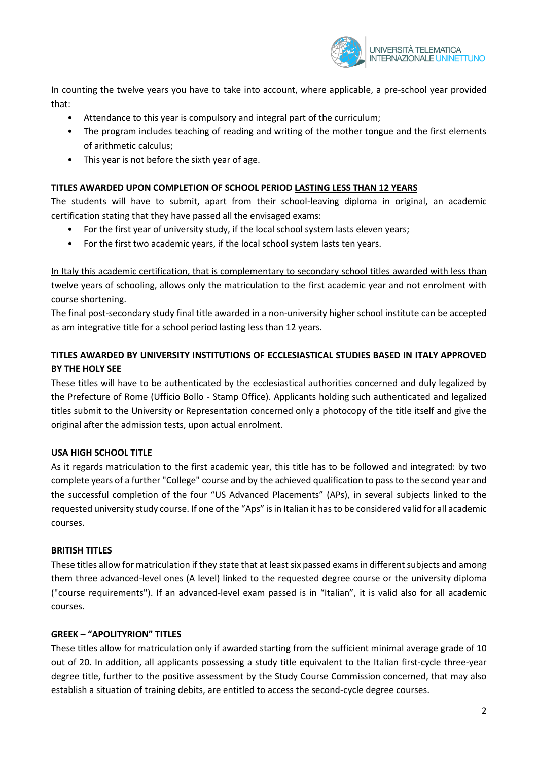

In counting the twelve years you have to take into account, where applicable, a pre-school year provided that:

- Attendance to this year is compulsory and integral part of the curriculum;
- The program includes teaching of reading and writing of the mother tongue and the first elements of arithmetic calculus;
- This year is not before the sixth year of age.

### **TITLES AWARDED UPON COMPLETION OF SCHOOL PERIOD LASTING LESS THAN 12 YEARS**

The students will have to submit, apart from their school-leaving diploma in original, an academic certification stating that they have passed all the envisaged exams:

- For the first year of university study, if the local school system lasts eleven years;
- For the first two academic years, if the local school system lasts ten years.

In Italy this academic certification, that is complementary to secondary school titles awarded with less than twelve years of schooling, allows only the matriculation to the first academic year and not enrolment with course shortening.

The final post-secondary study final title awarded in a non-university higher school institute can be accepted as am integrative title for a school period lasting less than 12 years.

## **TITLES AWARDED BY UNIVERSITY INSTITUTIONS OF ECCLESIASTICAL STUDIES BASED IN ITALY APPROVED BY THE HOLY SEE**

These titles will have to be authenticated by the ecclesiastical authorities concerned and duly legalized by the Prefecture of Rome (Ufficio Bollo - Stamp Office). Applicants holding such authenticated and legalized titles submit to the University or Representation concerned only a photocopy of the title itself and give the original after the admission tests, upon actual enrolment.

#### **USA HIGH SCHOOL TITLE**

As it regards matriculation to the first academic year, this title has to be followed and integrated: by two complete years of a further "College" course and by the achieved qualification to pass to the second year and the successful completion of the four "US Advanced Placements" (APs), in several subjects linked to the requested university study course. If one of the "Aps" is in Italian it hasto be considered valid for all academic courses.

#### **BRITISH TITLES**

These titles allow for matriculation if they state that at least six passed exams in different subjects and among them three advanced-level ones (A level) linked to the requested degree course or the university diploma ("course requirements"). If an advanced-level exam passed is in "Italian", it is valid also for all academic courses.

#### **GREEK – "APOLITYRION" TITLES**

These titles allow for matriculation only if awarded starting from the sufficient minimal average grade of 10 out of 20. In addition, all applicants possessing a study title equivalent to the Italian first-cycle three-year degree title, further to the positive assessment by the Study Course Commission concerned, that may also establish a situation of training debits, are entitled to access the second-cycle degree courses.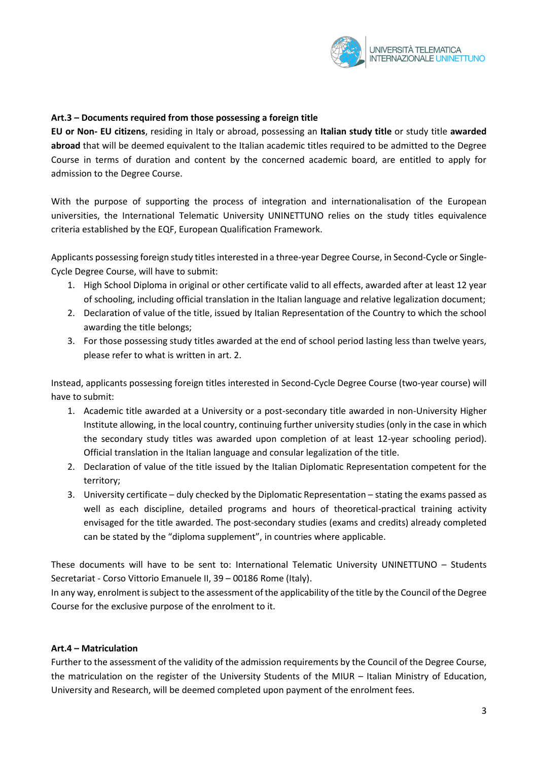

#### **Art.3 – Documents required from those possessing a foreign title**

**EU or Non- EU citizens**, residing in Italy or abroad, possessing an **Italian study title** or study title **awarded abroad** that will be deemed equivalent to the Italian academic titles required to be admitted to the Degree Course in terms of duration and content by the concerned academic board, are entitled to apply for admission to the Degree Course.

With the purpose of supporting the process of integration and internationalisation of the European universities, the International Telematic University UNINETTUNO relies on the study titles equivalence criteria established by the EQF, European Qualification Framework.

Applicants possessing foreign study titles interested in a three-year Degree Course, in Second-Cycle or Single-Cycle Degree Course, will have to submit:

- 1. High School Diploma in original or other certificate valid to all effects, awarded after at least 12 year of schooling, including official translation in the Italian language and relative legalization document;
- 2. Declaration of value of the title, issued by Italian Representation of the Country to which the school awarding the title belongs;
- 3. For those possessing study titles awarded at the end of school period lasting less than twelve years, please refer to what is written in art. 2.

Instead, applicants possessing foreign titles interested in Second-Cycle Degree Course (two-year course) will have to submit:

- 1. Academic title awarded at a University or a post-secondary title awarded in non-University Higher Institute allowing, in the local country, continuing further university studies (only in the case in which the secondary study titles was awarded upon completion of at least 12-year schooling period). Official translation in the Italian language and consular legalization of the title.
- 2. Declaration of value of the title issued by the Italian Diplomatic Representation competent for the territory;
- 3. University certificate duly checked by the Diplomatic Representation stating the exams passed as well as each discipline, detailed programs and hours of theoretical-practical training activity envisaged for the title awarded. The post-secondary studies (exams and credits) already completed can be stated by the "diploma supplement", in countries where applicable.

These documents will have to be sent to: International Telematic University UNINETTUNO – Students Secretariat - Corso Vittorio Emanuele II, 39 – 00186 Rome (Italy).

In any way, enrolment is subject to the assessment of the applicability of the title by the Council of the Degree Course for the exclusive purpose of the enrolment to it.

#### **Art.4 – Matriculation**

Further to the assessment of the validity of the admission requirements by the Council of the Degree Course, the matriculation on the register of the University Students of the MIUR – Italian Ministry of Education, University and Research, will be deemed completed upon payment of the enrolment fees.